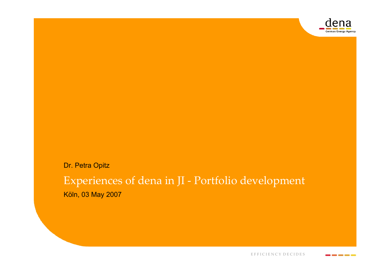

Dr. Petra Opitz

### Experiences of dena in JI - Portfolio development Köln, 03 May 2007

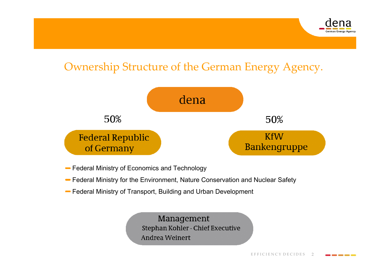

## Ownership Structure of the German Energy Agency.



- Federal Ministry of Economics and Technology
- Federal Ministry for the Environment, Nature Conservation and Nuclear Safety
- Federal Ministry of Transport, Building and Urban Development

Management Stephan Kohler - Chief Executive Andrea Weinert

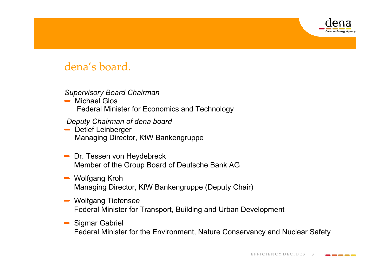

### dena's board.

#### *Supervisory Board Chairman*

**■ Michael Glos** Federal Minister for Economics and Technology

*Deputy Chairman of dena board*

- Detlef Leinberger Managing Director, KfW Bankengruppe
- **-** Dr. Tessen von Heydebreck Member of the Group Board of Deutsche Bank AG
- Wolfgang Kroh Managing Director, KfW Bankengruppe (Deputy Chair)
- **Wolfgang Tiefensee** Federal Minister for Transport, Building and Urban Development
- **Sigmar Gabriel** Federal Minister for the Environment, Nature Conservancy and Nuclear Safety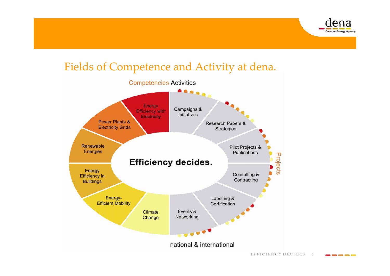

### Fields of Competence and Activity at dena.



E F F I C I E N C Y D E C I D E S  $\overline{4}$ 

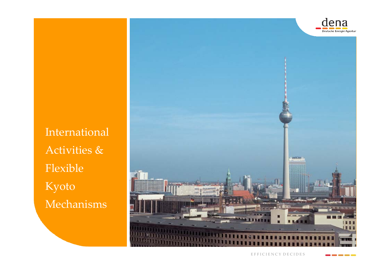

International Activities & Flexible Kyoto Mechanisms



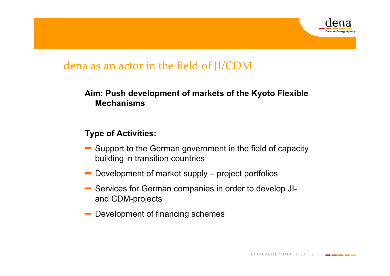

### dena as an actor in the field of JI/CDM

### **Aim: Push development of markets of the Kyoto Flexible Mechanisms**

### **Type of Activities:**

- Support to the German government in the field of capacity building in transition countries
- Development of market supply project portfolios
- Services for German companies in order to develop JIand CDM-projects
- Development of financing schemes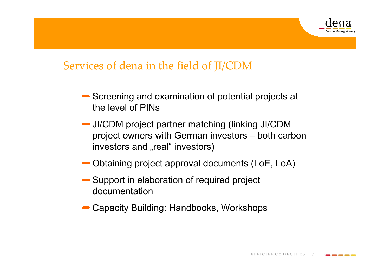

## Services of dena in the field of JI/CDM

- Screening and examination of potential projects at the level of PINs
- JI/CDM project partner matching (linking JI/CDM project owners with German investors – both carbon investors and "real" investors)
- Obtaining project approval documents (LoE, LoA)
- Support in elaboration of required project documentation
- Capacity Building: Handbooks, Workshops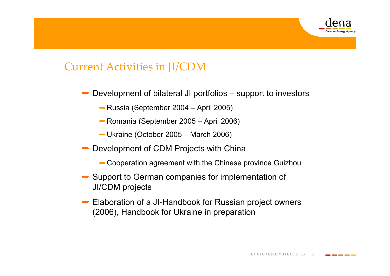

### Current Activities in JI/CDM

- Development of bilateral JI portfolios support to investors
	- Russia (September 2004 April 2005)
	- Romania (September 2005 April 2006)
	- Ukraine (October 2005 March 2006)
- Development of CDM Projects with China
	- Cooperation agreement with the Chinese province Guizhou
- Support to German companies for implementation of JI/CDM projects
- Elaboration of a JI-Handbook for Russian project owners (2006), Handbook for Ukraine in preparation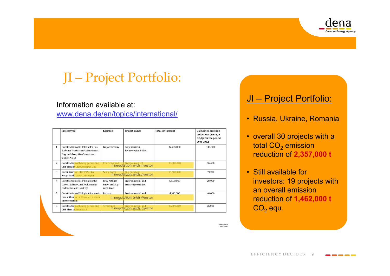

# JI – Project Portfolio:

#### Information available at:

www.dena.de/en/topics/international/

|                | Project type                                                                                                                                  | Location                                         | Project owner                                           | <b>Total Investment</b> | <b>Calculated emission</b><br>reductions (average<br>$CO2$ t/a for the period<br>2008-2012) |
|----------------|-----------------------------------------------------------------------------------------------------------------------------------------------|--------------------------------------------------|---------------------------------------------------------|-------------------------|---------------------------------------------------------------------------------------------|
|                | <b>Construction of CHP Plant for Gas</b><br>Turbines Waste Heat Utilization at<br><b>Bogorodchany Gas Compressor</b><br><b>Station No. 21</b> | Bogorodchany                                     | Cogeneration<br>Technologies B-1 Ltd.                   | 12,735,000              | 130,000                                                                                     |
| $\overline{2}$ | <b>Construction of flexing generating</b><br>CHP plant at Chervonograd City                                                                   | Chervonograd                                     | anograd Energoinvest Ltd<br>in negotation with investor | 16,600,000              | 56,400                                                                                      |
| 3              | <b>Reconstruction of CHP Plant at</b><br>Novyi Rozdil city of Lviv region                                                                     | Noviy Rozdi                                      | Rozdi<br>in negotation with investor                    | 15,800,000              | 49,200                                                                                      |
| 4              | Construction of CHP Plant on the<br>base of Zaliznychne Teploenergo<br>Boiler-House in Lviv City                                              | Lviv, Petliura<br>Street and Shy-<br>roka street | Environmental and<br><b>Energy Systems Ltd</b>          | 6,560,000               | 28,000                                                                                      |
| 5              | Construction of CHP plant for waste<br>heat utilization at Rogatyn gas com-<br>pressor station                                                | Rogatyn                                          | Environmental and<br>in negotiation with investor       | 4,100,000               | 40,000                                                                                      |
| 6              | Construction of flexing generating<br><b>CHP Plant at Sevastopol</b>                                                                          | Sevastopol                                       | opol Environmental and<br>in negotation, with investor  | 16,600,000              | 76,000                                                                                      |

### JI – Project Portfolio:

- Russia, Ukraine, Romania
- overall 30 projects with a total CO $_{\rm 2}$  emission  $^{\circ}$ reduction of **2,357,000 t**
- Still available for investors: 19 projects with an overall emission reduction of **1,462,000 t**  $\mathsf{CO}_2$  equ.

Seite 1 von 2 1109,200

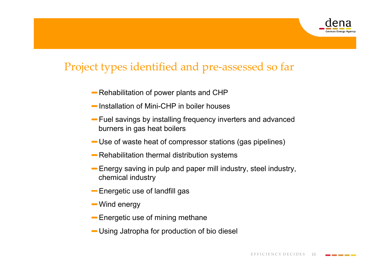

### Project types identified and pre-assessed so far

- Rehabilitation of power plants and CHP
- Installation of Mini-CHP in boiler houses
- Fuel savings by installing frequency inverters and advanced burners in gas heat boilers
- Use of waste heat of compressor stations (gas pipelines)
- Rehabilitation thermal distribution systems
- Energy saving in pulp and paper mill industry, steel industry, chemical industry
- Energetic use of landfill gas
- Wind energy
- Energetic use of mining methane
- Using Jatropha for production of bio diesel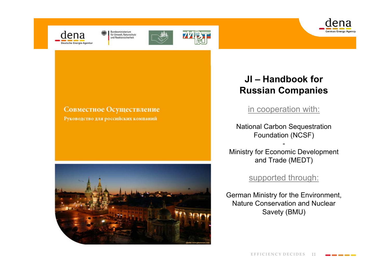



Bundesministerium<br>für Umwelt, Naturschutz und Reaktorsicherheit





#### Совместное Осуществление

Руководство для российских компаний



### **JI – Handbook for Russian Companies**

in cooperation with:

National Carbon Sequestration Foundation (NCSF)

Ministry for Economic Development and Trade (MEDT)

supported through:

German Ministry for the Environment, Nature Conservation and Nuclear Savety (BMU)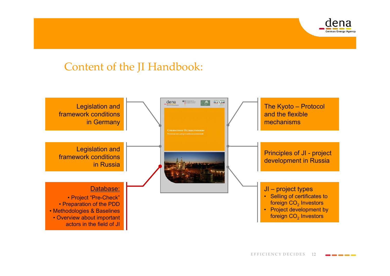

### Content of the JI Handbook:

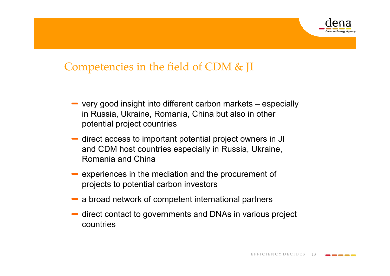

### Competencies in the field of CDM & JI

- very good insight into different carbon markets especially in Russia, Ukraine, Romania, China but also in other potential project countries
- direct access to important potential project owners in JI and CDM host countries especially in Russia, Ukraine, Romania and China
- $\blacksquare$  experiences in the mediation and the procurement of projects to potential carbon investors
- a broad network of competent international partners
- direct contact to governments and DNAs in various project countries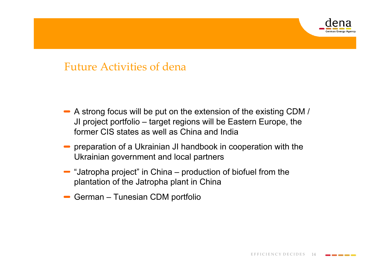

### Future Activities of dena

- A strong focus will be put on the extension of the existing CDM / JI project portfolio – target regions will be Eastern Europe, the former CIS states as well as China and India
- $\blacksquare$  preparation of a Ukrainian JI handbook in cooperation with the Ukrainian government and local partners
- $\blacksquare$  "Jatropha project" in China production of biofuel from the plantation of the Jatropha plant in China
- German Tunesian CDM portfolio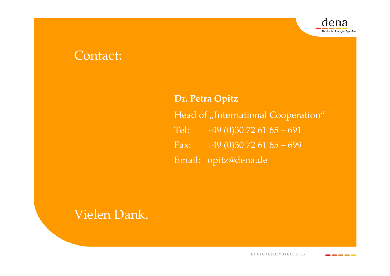

## Contact:

**Dr. Petra Opitz** Head of "International Cooperation" Tel:  $+49(0)30\,72\,61\,65-691$ Fax: +49 (0)30 72 61  $\overline{65 - 699}$ Email: opitz@dena.de

## Vielen Dank.